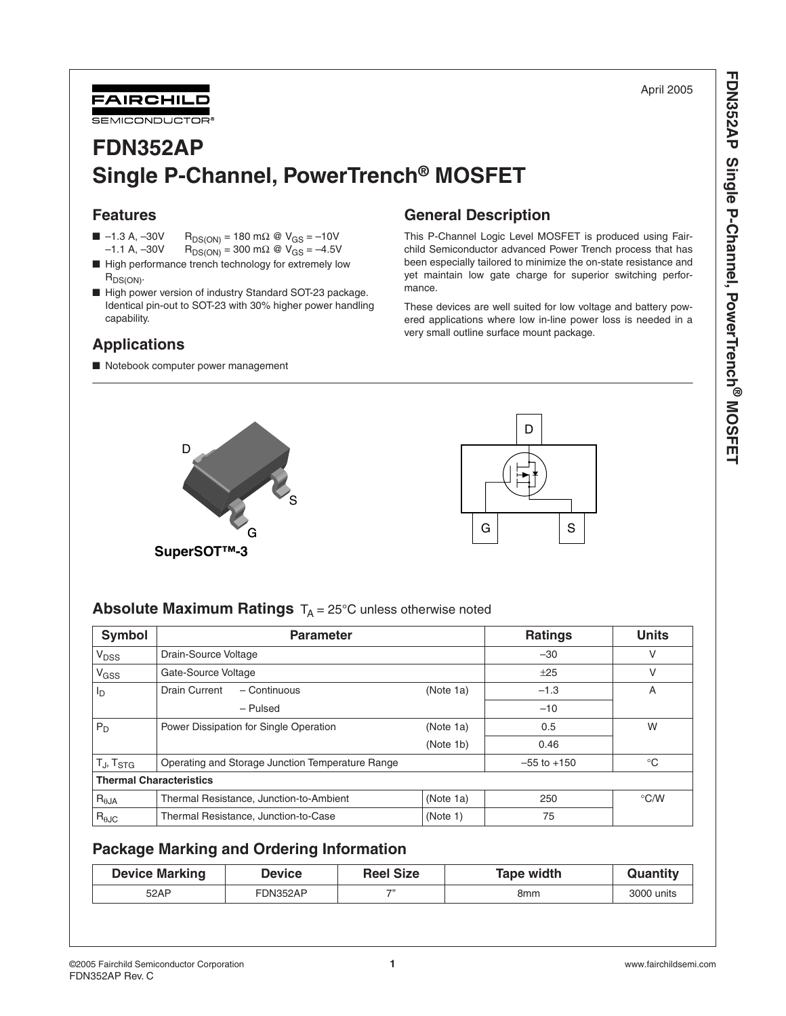April 2005

**FDN352AP Single P-Channel, PowerTrench**

FDN352AP Single P-Channel, PowerTrench<sup>®</sup> MOSFET



# **FDN352AP Single P-Channel, PowerTrench® MOSFET**

## **Features**

- –1.3 A, –30V R<sub>DS(ON)</sub> = 180 mΩ @ V<sub>GS</sub> = –10V<br>-1.1 A, –30V R<sub>DS(ON)</sub> = 300 mΩ @ V<sub>GS</sub> = –4.5V  $R_{DS(ON)} = 300$  mΩ @ V<sub>GS</sub> = -4.5V
- High performance trench technology for extremely low  $R_{DS(ON)}$ .
- High power version of industry Standard SOT-23 package. Identical pin-out to SOT-23 with 30% higher power handling capability.

## **Applications**

■ Notebook computer power management

## **General Description**

This P-Channel Logic Level MOSFET is produced using Fairchild Semiconductor advanced Power Trench process that has been especially tailored to minimize the on-state resistance and yet maintain low gate charge for superior switching performance.

These devices are well suited for low voltage and battery powered applications where low in-line power loss is needed in a very small outline surface mount package.





## **Absolute Maximum Ratings** T<sub>A</sub> = 25°C unless otherwise noted

| Symbol                            | <b>Parameter</b>                                 |           | <b>Ratings</b>  | <b>Units</b>  |
|-----------------------------------|--------------------------------------------------|-----------|-----------------|---------------|
| V <sub>DSS</sub>                  | Drain-Source Voltage                             |           | $-30$           | v             |
| V <sub>GSS</sub>                  | Gate-Source Voltage                              |           | ±25             | v             |
| l <sub>D</sub>                    | Drain Current<br>- Continuous                    | (Note 1a) | $-1.3$          | A             |
|                                   | - Pulsed                                         |           | $-10$           |               |
| $P_D$                             | Power Dissipation for Single Operation           | (Note 1a) | 0.5             | W             |
|                                   |                                                  | (Note 1b) | 0.46            |               |
| T <sub>J</sub> , T <sub>STG</sub> | Operating and Storage Junction Temperature Range |           | $-55$ to $+150$ | $^{\circ}$ C  |
| <b>Thermal Characteristics</b>    |                                                  |           |                 |               |
| $R_{\theta$ JA                    | Thermal Resistance, Junction-to-Ambient          | (Note 1a) | 250             | $\degree$ C/W |
| $R_{\theta$ JC                    | Thermal Resistance, Junction-to-Case<br>(Note 1) |           | 75              |               |

## **Package Marking and Ordering Information**

| <b>Device Marking</b> | Device   | <b>Reel Size</b> | Tape width | Quantitv   |
|-----------------------|----------|------------------|------------|------------|
| 52AP                  | FDN352AP | $\rightarrow$    | 8mm        | 3000 units |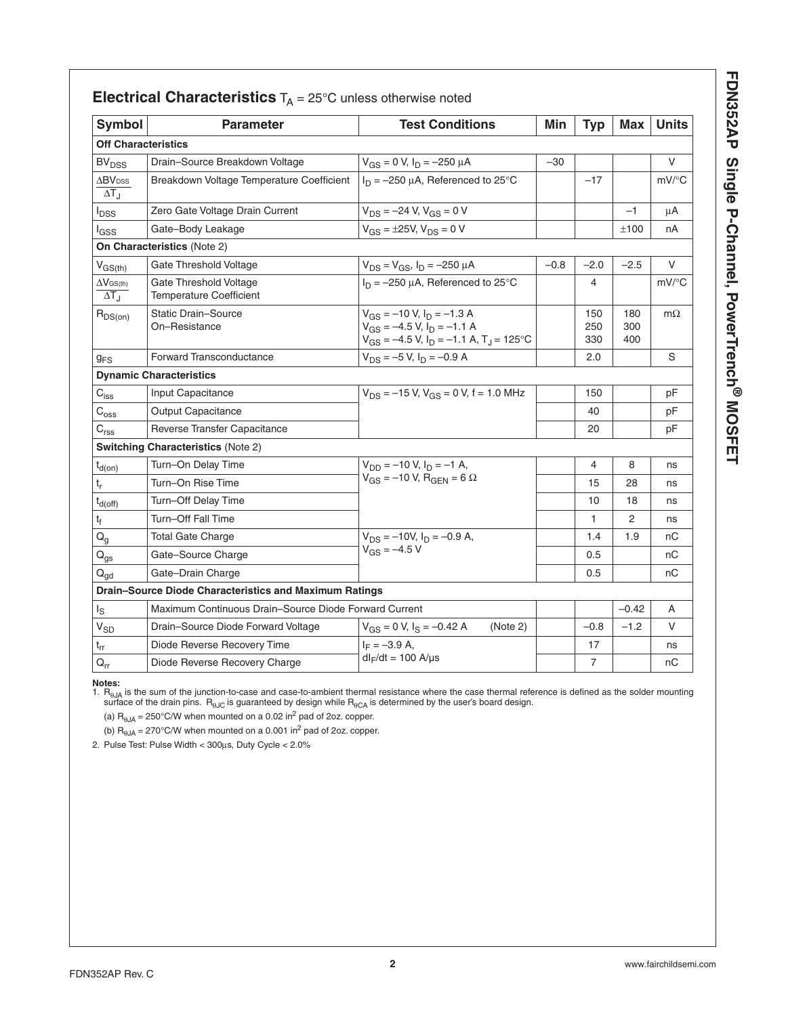| í                                            |
|----------------------------------------------|
| ċ                                            |
| I<br>$\ddot{\phantom{a}}$                    |
| J<br>י<br>י<br>:<br>ı<br>$\frac{1}{2}$<br>i) |
| i<br>i<br>۔<br>ا                             |

| <b>Symbol</b>                                    | <b>Parameter</b>                                         | <b>Test Conditions</b>                                                                                                      | Min    | <b>Typ</b>        | <b>Max</b>        | <b>Units</b>        |
|--------------------------------------------------|----------------------------------------------------------|-----------------------------------------------------------------------------------------------------------------------------|--------|-------------------|-------------------|---------------------|
| <b>Off Characteristics</b>                       |                                                          |                                                                                                                             |        |                   |                   |                     |
| <b>BV<sub>DSS</sub></b>                          | Drain-Source Breakdown Voltage                           | $V_{GS} = 0 V$ , $I_D = -250 \mu A$                                                                                         | $-30$  |                   |                   | V                   |
| $\Delta$ BV <sub>DSS</sub><br>$\Delta T_{\rm d}$ | Breakdown Voltage Temperature Coefficient                | $I_D = -250 \mu A$ , Referenced to 25°C                                                                                     |        | $-17$             |                   | $mV$ <sup>o</sup> C |
| l <sub>DSS</sub>                                 | Zero Gate Voltage Drain Current                          | $V_{DS} = -24 V, V_{GS} = 0 V$                                                                                              |        |                   | $-1$              | μA                  |
| lgss                                             | Gate-Body Leakage                                        | $V_{GS} = \pm 25V$ , $V_{DS} = 0 V$                                                                                         |        |                   | ±100              | nA                  |
|                                                  | On Characteristics (Note 2)                              |                                                                                                                             |        |                   |                   |                     |
| $V_{GS(th)}$                                     | Gate Threshold Voltage                                   | $V_{DS} = V_{GS}$ , $I_D = -250 \mu A$                                                                                      | $-0.8$ | $-2.0$            | $-2.5$            | V                   |
| $\Delta V$ GS(th)<br>$\Delta T_{\rm J}$          | Gate Threshold Voltage<br><b>Temperature Coefficient</b> | $I_D = -250 \mu A$ , Referenced to 25°C                                                                                     |        | 4                 |                   | mV/°C               |
| $R_{DS(on)}$                                     | <b>Static Drain-Source</b><br>On-Resistance              | $V_{GS} = -10 V$ , $I_D = -1.3 A$<br>$V_{GS} = -4.5 V, I_D = -1.1 A$<br>$V_{GS} = -4.5 V$ , $I_D = -1.1 A$ , $T_J = 125$ °C |        | 150<br>250<br>330 | 180<br>300<br>400 | $m\Omega$           |
| $g_{FS}$                                         | <b>Forward Transconductance</b>                          | $V_{DS} = -5 V$ , $I_D = -0.9 A$                                                                                            |        | 2.0               |                   | S                   |
|                                                  | <b>Dynamic Characteristics</b>                           |                                                                                                                             |        |                   |                   |                     |
| $C_{iss}$                                        | Input Capacitance                                        | $V_{DS}$ = -15 V, V <sub>GS</sub> = 0 V, f = 1.0 MHz                                                                        |        | 150               |                   | рF                  |
| $C_{\rm oss}$                                    | <b>Output Capacitance</b>                                |                                                                                                                             |        | 40                |                   | pF                  |
| C <sub>rss</sub>                                 | Reverse Transfer Capacitance                             |                                                                                                                             |        | 20                |                   | pF                  |
|                                                  | <b>Switching Characteristics (Note 2)</b>                |                                                                                                                             |        |                   |                   |                     |
| $t_{d(on)}$                                      | Turn-On Delay Time                                       | $V_{DD} = -10 V, I_D = -1 A,$                                                                                               |        | 4                 | 8                 | ns                  |
| $\mathsf{t}_{\mathsf{r}}$                        | Turn-On Rise Time                                        | $V_{GS} = -10 V$ , R <sub>GEN</sub> = 6 $\Omega$                                                                            |        | 15                | 28                | ns                  |
| $t_{d(off)}$                                     | Turn-Off Delay Time                                      |                                                                                                                             |        | 10                | 18                | ns                  |
| $\mathfrak{t}_{\mathfrak{f}}$                    | Turn-Off Fall Time                                       |                                                                                                                             |        | 1                 | $\overline{2}$    | ns                  |
| $Q_{q}$                                          | <b>Total Gate Charge</b>                                 | $V_{DS} = -10V$ , $I_D = -0.9 A$ ,                                                                                          |        | 1.4               | 1.9               | nС                  |
| $Q_{gs}$                                         | Gate-Source Charge                                       | $V_{GS} = -4.5 V$                                                                                                           |        | 0.5               |                   | пC                  |
| $Q_{qd}$                                         | Gate-Drain Charge                                        |                                                                                                                             |        | 0.5               |                   | nC                  |
|                                                  | Drain-Source Diode Characteristics and Maximum Ratings   |                                                                                                                             |        |                   |                   |                     |
| ls                                               | Maximum Continuous Drain–Source Diode Forward Current    |                                                                                                                             |        |                   | $-0.42$           | A                   |
| $V_{SD}$                                         | Drain-Source Diode Forward Voltage                       | $V_{GS} = 0 V$ , $I_S = -0.42 A$<br>(Note 2)                                                                                |        | $-0.8$            | $-1.2$            | $\vee$              |
| $t_{rr}$                                         | Diode Reverse Recovery Time                              | $I_F = -3.9 A$                                                                                                              |        | 17                |                   | ns                  |
| $\mathsf{Q}_{\mathsf{r}\mathsf{r}}$              | Diode Reverse Recovery Charge                            | $dl_F/dt = 100$ A/µs                                                                                                        |        | $\overline{7}$    |                   | пC                  |

**Notes:**  1. RθJA is the sum of the junction-to-case and case-to-ambient thermal resistance where the case thermal reference is defined as the solder mounting surface of the drain pins.  $\rm\,R_{\rm \,60C}$  is guaranteed by design while  $\rm\,R_{\rm \,60C}$  is determined by the user's board design.

(a)  $R_{\theta JA} = 250^{\circ}$ C/W when mounted on a 0.02 in<sup>2</sup> pad of 2oz. copper.

(b)  $R_{\theta JA}$  = 270°C/W when mounted on a 0.001 in<sup>2</sup> pad of 2oz. copper.

2. Pulse Test: Pulse Width < 300µs, Duty Cycle < 2.0%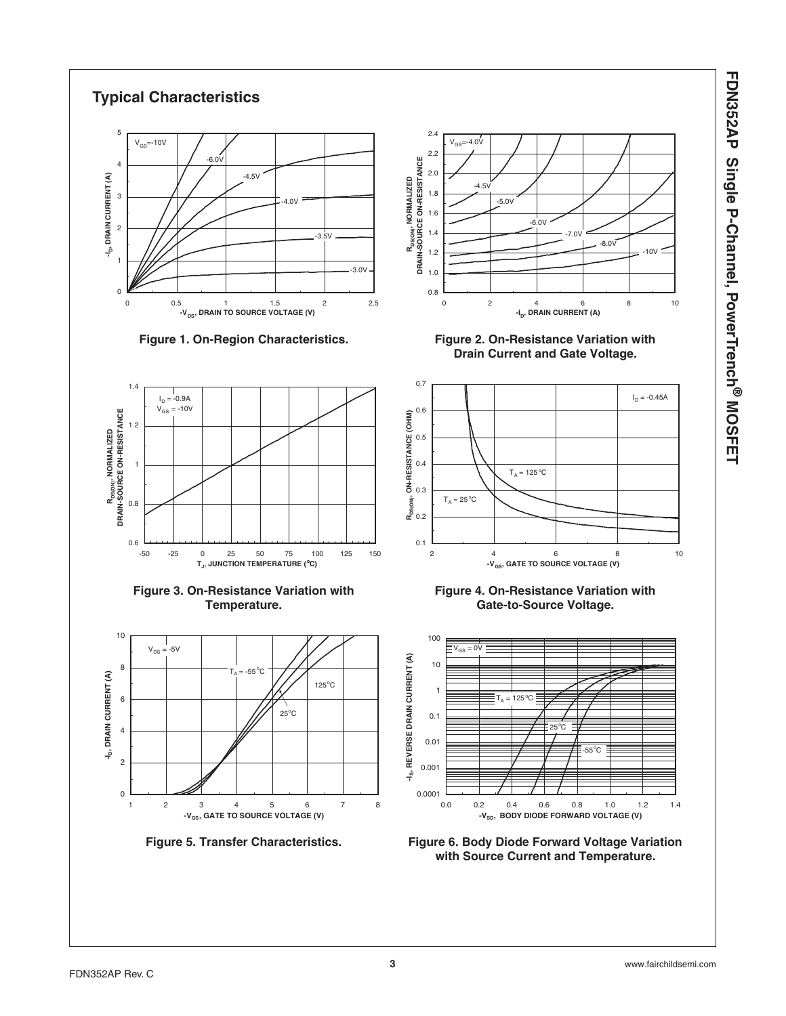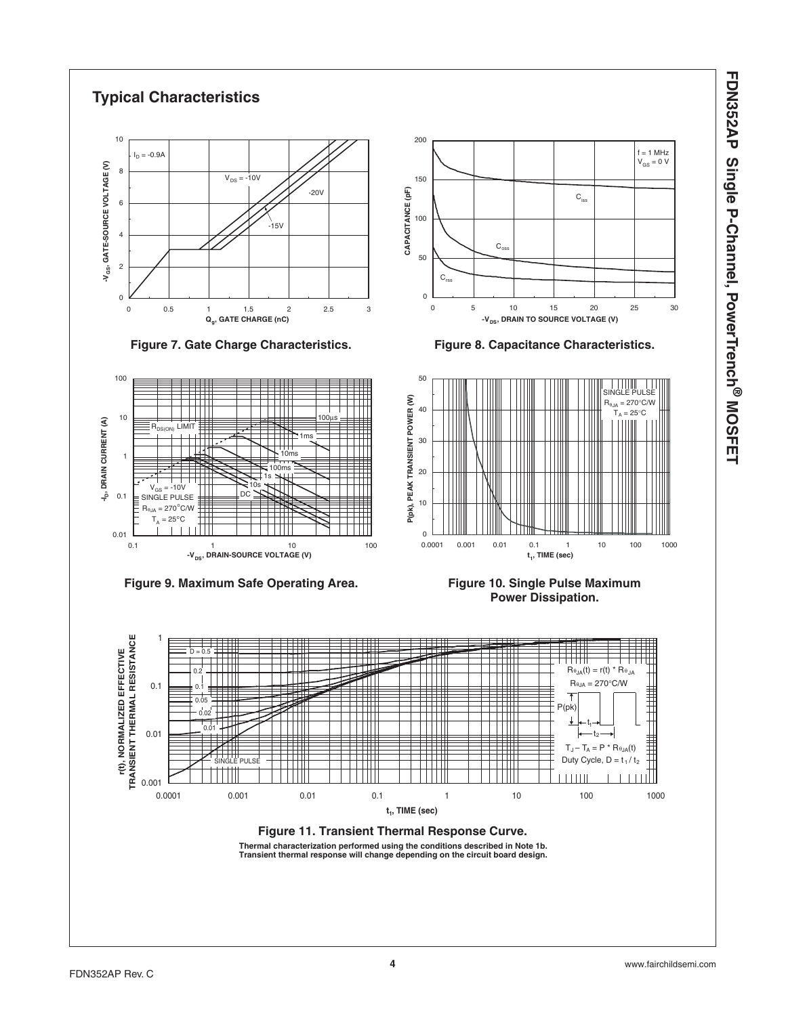